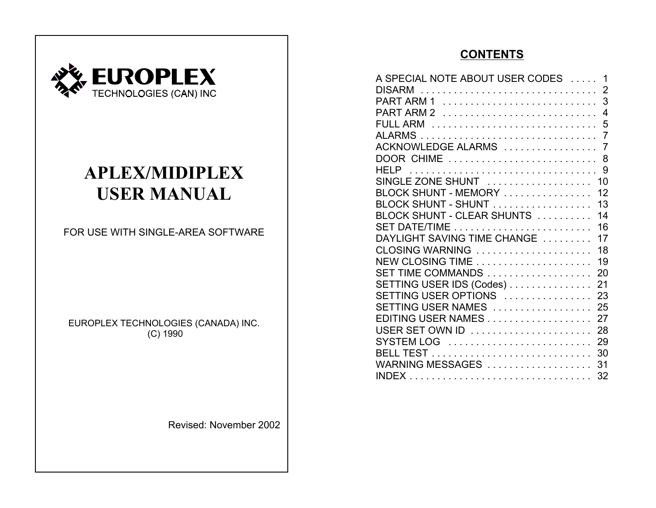

# **APLEX/MIDIPLEX USER MANUAL**

FOR USE WITH SINGLE-AREA SOFTWARE

EUROPLEX TECHNOLOGIES (CANADA) INC. (C) 1990

Revised: November 2002

# **CONTENTS**

| A SPECIAL NOTE ABOUT USER CODES  1                                                                |  |  |
|---------------------------------------------------------------------------------------------------|--|--|
| DISARM  2                                                                                         |  |  |
|                                                                                                   |  |  |
|                                                                                                   |  |  |
|                                                                                                   |  |  |
|                                                                                                   |  |  |
|                                                                                                   |  |  |
| DOOR CHIME  8                                                                                     |  |  |
|                                                                                                   |  |  |
| SINGLE ZONE SHUNT  10                                                                             |  |  |
| BLOCK SHUNT - MEMORY  12                                                                          |  |  |
| BLOCK SHUNT - SHUNT 13                                                                            |  |  |
| BLOCK SHUNT - CLEAR SHUNTS  14                                                                    |  |  |
|                                                                                                   |  |  |
| DAYLIGHT SAVING TIME CHANGE  17                                                                   |  |  |
| CLOSING WARNING  18                                                                               |  |  |
|                                                                                                   |  |  |
| SET TIME COMMANDS  20                                                                             |  |  |
| SETTING USER IDS (Codes) 21                                                                       |  |  |
| $\mathsf{SETTING} \mathsf{USER} \mathsf{OPTIONS} \dots \dots \dots \dots \dots \quad \mathsf{23}$ |  |  |
| SETTING USER NAMES  25                                                                            |  |  |
| EDITING USER NAMES 27                                                                             |  |  |
| USER SET OWN ID  28                                                                               |  |  |
|                                                                                                   |  |  |
|                                                                                                   |  |  |
| WARNING MESSAGES  31                                                                              |  |  |
|                                                                                                   |  |  |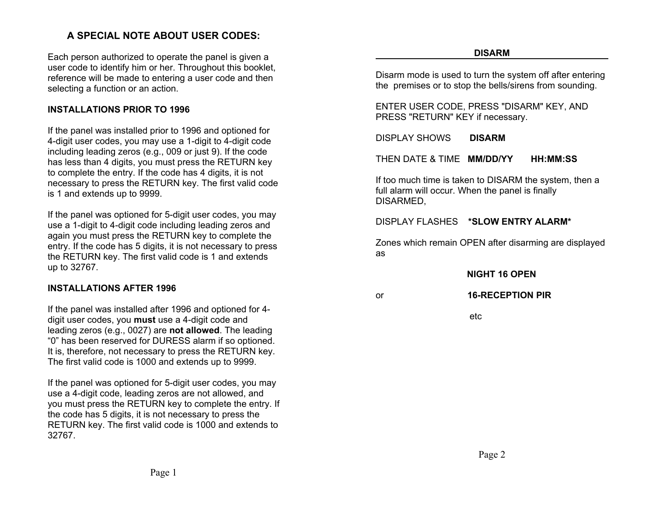# **A SPECIAL NOTE ABOUT USER CODES:**

Each person authorized to operate the panel is given a user code to identify him or her. Throughout this booklet, reference will be made to entering a user code and then selecting a function or an action.

### **INSTALLATIONS PRIOR TO 1996**

If the panel was installed prior to 1996 and optioned for 4-digit user codes, you may use a 1-digit to 4-digit code including leading zeros (e.g., 009 or just 9). If the code has less than 4 digits, you must press the RETURN key to complete the entry. If the code has 4 digits, it is not necessary to press the RETURN key. The first valid code is 1 and extends up to 9999.

If the panel was optioned for 5-digit user codes, you may use a 1-digit to 4-digit code including leading zeros and again you must press the RETURN key to complete the entry. If the code has 5 digits, it is not necessary to press the RETURN key. The first valid code is 1 and extends up to 32767.

#### **INSTALLATIONS AFTER 1996**

If the panel was installed after 1996 and optioned for 4 digit user codes, you **must** use a 4-digit code and leading zeros (e.g., 0027) are **not allowed**. The leading "0" has been reserved for DURESS alarm if so optioned. It is, therefore, not necessary to press the RETURN key. The first valid code is 1000 and extends up to 9999.

If the panel was optioned for 5-digit user codes, you may use a 4-digit code, leading zeros are not allowed, and you must press the RETURN key to complete the entry. If the code has 5 digits, it is not necessary to press the RETURN key. The first valid code is 1000 and extends to 32767.

Disarm mode is used to turn the system off after entering the premises or to stop the bells/sirens from sounding.

ENTER USER CODE, PRESS "DISARM" KEY, AND PRESS "RETURN" KEY if necessary.

DISPLAY SHOWS**DISARM**

THEN DATE & TIME **MM/DD/YY HH:MM:SS**

If too much time is taken to DISARM the system, then a full alarm will occur. When the panel is finally DISARMED,

DISPLAY FLASHES **\*SLOW ENTRY ALARM\***

Zones which remain OPEN after disarming are displayed as

 **NIGHT 16 OPEN**

#### or **16-RECEPTION PIR**

etc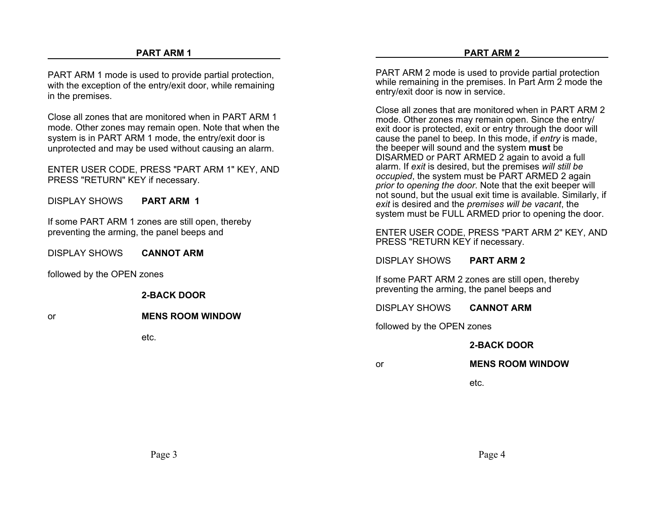PART ARM 1 mode is used to provide partial protection, with the exception of the entry/exit door, while remaining in the premises.

Close all zones that are monitored when in PART ARM 1mode. Other zones may remain open. Note that when the system is in PART ARM 1 mode, the entry/exit door is unprotected and may be used without causing an alarm.

ENTER USER CODE, PRESS "PART ARM 1" KEY, AND PRESS "RETURN" KEY if necessary.

DISPLAY SHOWS**PART ARM 1**

If some PART ARM 1 zones are still open, thereby preventing the arming, the panel beeps and

DISPLAY SHOWS**CANNOT ARM**

followed by the OPEN zones

**2-BACK DOOR**

#### or**MENS ROOM WINDOW**

etc.

PART ARM 2 mode is used to provide partial protection while remaining in the premises. In Part Arm 2 mode the entry/exit door is now in service.

Close all zones that are monitored when in PART ARM 2mode. Other zones may remain open. Since the entry/ exit door is protected, exit or entry through the door will cause the panel to beep. In this mode, if *entry* is made, the beeper will sound and the system **must** be DISARMED or PART ARMED 2 again to avoid a full alarm. If *exit* is desired, but the premises *will still be occupied*, the system must be PART ARMED 2 again *prior to opening the door*. Note that the exit beeper will not sound, but the usual exit time is available. Similarly, if *exit* is desired and the *premises will be vacant*, the system must be FULL ARMED prior to opening the door.

ENTER USER CODE, PRESS "PART ARM 2" KEY, AND PRESS "RETURN KEY if necessary.

DISPLAY SHOWS**PART ARM 2**

If some PART ARM 2 zones are still open, thereby preventing the arming, the panel beeps and

DISPLAY SHOWS**CANNOT ARM**

followed by the OPEN zones

or

#### **2-BACK DOOR**

**MENS ROOM WINDOW**

etc.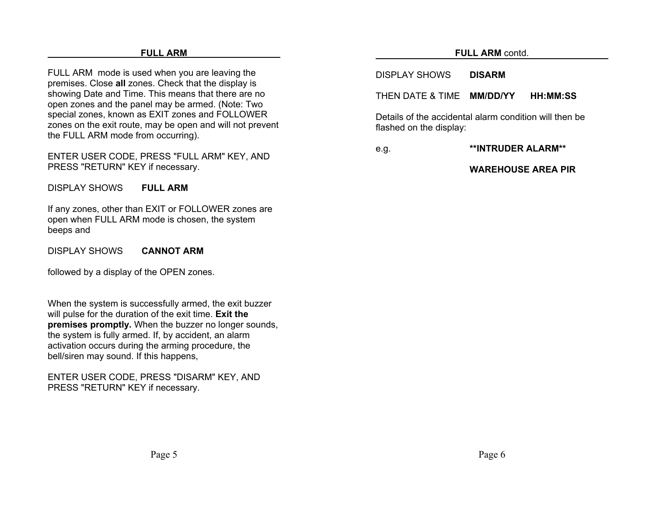#### **FULL ARM**

FULL ARM mode is used when you are leaving the premises. Close **all** zones. Check that the display is showing Date and Time. This means that there are no open zones and the panel may be armed. (Note: Two special zones, known as EXIT zones and FOLLOWER zones on the exit route, may be open and will not prevent the FULL ARM mode from occurring).

ENTER USER CODE, PRESS "FULL ARM" KEY, AND PRESS "RETURN" KEY if necessary.

DISPLAY SHOWS**FULL ARM**

If any zones, other than EXIT or FOLLOWER zones are open when FULL ARM mode is chosen, the system beeps and

DISPLAY SHOWS**CANNOT ARM**

followed by a display of the OPEN zones.

When the system is successfully armed, the exit buzzer will pulse for the duration of the exit time. **Exit the premises promptly.** When the buzzer no longer sounds, the system is fully armed. If, by accident, an alarm activation occurs during the arming procedure, the bell/siren may sound. If this happens,

ENTER USER CODE, PRESS "DISARM" KEY, AND PRESS "RETURN" KEY if necessary.

#### **FULL ARM** contd.

DISPLAY SHOWS**DISARM**

THEN DATE & TIME **MM/DD/YY HH:MM:SS**

Details of the accidental alarm condition will then beflashed on the display:

e.g. **\*\*INTRUDER ALARM\*\***

**WAREHOUSE AREA PIR**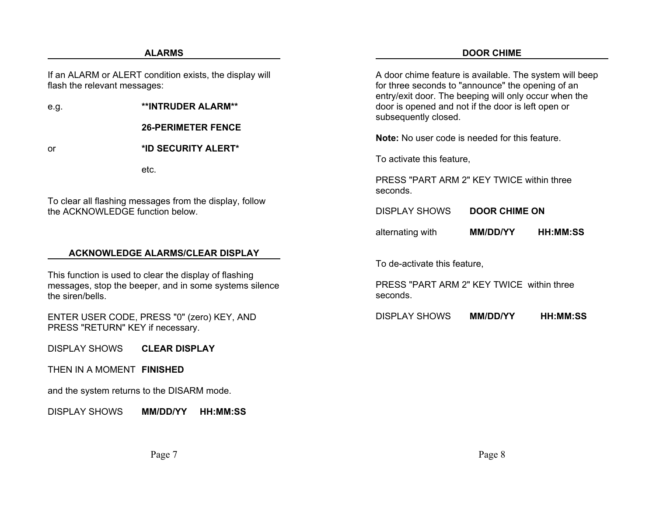#### **ALARMS**

#### **DOOR CHIME**

If an ALARM or ALERT condition exists, the display will flash the relevant messages:

e.g. **\*\*INTRUDER ALARM\*\***

**26-PERIMETER FENCE**

**\*ID SECURITY ALERT\***

or

To clear all flashing messages from the display, follow the ACKNOWLEDGE function below.

etc.

#### **ACKNOWLEDGE ALARMS/CLEAR DISPLAY**

This function is used to clear the display of flashing messages, stop the beeper, and in some systems silence the siren/bells.

ENTER USER CODE, PRESS "0" (zero) KEY, AND PRESS "RETURN" KEY if necessary.

DISPLAY SHOWS**CLEAR DISPLAY**

THEN IN A MOMENT **FINISHED**

and the system returns to the DISARM mode.

DISPLAY SHOWS**MM/DD/YY HH:MM:SS**

| A door chime feature is available. The system will beep<br>for three seconds to "announce" the opening of an<br>entry/exit door. The beeping will only occur when the<br>door is opened and not if the door is left open or<br>subsequently closed. |                      |                 |  |  |  |
|-----------------------------------------------------------------------------------------------------------------------------------------------------------------------------------------------------------------------------------------------------|----------------------|-----------------|--|--|--|
| Note: No user code is needed for this feature.                                                                                                                                                                                                      |                      |                 |  |  |  |
| To activate this feature,                                                                                                                                                                                                                           |                      |                 |  |  |  |
| PRESS "PART ARM 2" KEY TWICE within three<br>seconds.                                                                                                                                                                                               |                      |                 |  |  |  |
| <b>DISPLAY SHOWS</b>                                                                                                                                                                                                                                | <b>DOOR CHIME ON</b> |                 |  |  |  |
| alternating with                                                                                                                                                                                                                                    | <b>MM/DD/YY</b>      | <b>HH:MM:SS</b> |  |  |  |
| To de-activate this feature,                                                                                                                                                                                                                        |                      |                 |  |  |  |
| PRESS "PART ARM 2" KEY TWICE within three<br>seconds.                                                                                                                                                                                               |                      |                 |  |  |  |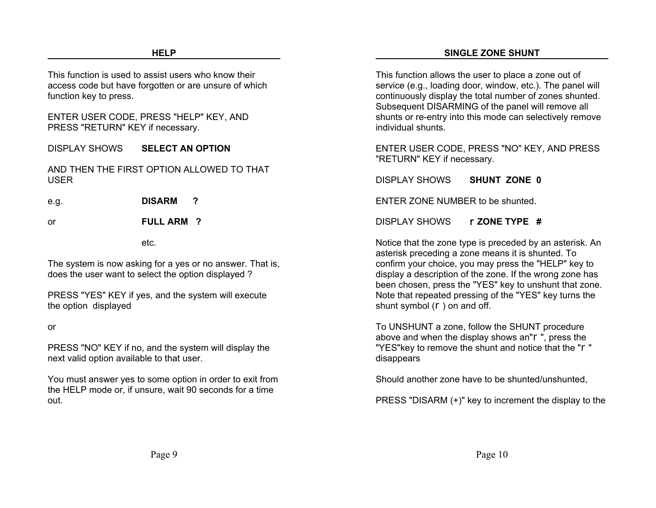This function is used to assist users who know theiraccess code but have forgotten or are unsure of which function key to press.

ENTER USER CODE, PRESS "HELP" KEY, AND PRESS "RETURN" KEY if necessary.

DISPLAY SHOWS**SELECT AN OPTION**

AND THEN THE FIRST OPTION ALLOWED TO THATUSER

e.g. **DISARM ?**

or

**FULL ARM ?**

etc.

The system is now asking for a yes or no answer. That is, does the user want to select the option displayed ?

PRESS "YES" KEY if yes, and the system will execute the option displayed

or

PRESS "NO" KEY if no, and the system will display the next valid option available to that user.

You must answer yes to some option in order to exit from the HELP mode or, if unsure, wait 90 seconds for a time out.

This function allows the user to place a zone out of service (e.g., loading door, window, etc.). The panel will continuously display the total number of zones shunted. Subsequent DISARMING of the panel will remove all shunts or re-entry into this mode can selectively remove individual shunts.

ENTER USER CODE, PRESS "NO" KEY, AND PRESS "RETURN" KEY if necessary.

DISPLAY SHOWS**SHUNT ZONE 0**

ENTER ZONE NUMBER to be shunted.

DISPLAY SHOWSr**ZONE TYPE #**

Notice that the zone type is preceded by an asterisk. An asterisk preceding a zone means it is shunted. To confirm your choice, you may press the "HELP" key to display a description of the zone. If the wrong zone has been chosen, press the "YES" key to unshunt that zone. Note that repeated pressing of the "YES" key turns the shunt symbol (r) on and off.

To UNSHUNT a zone, follow the SHUNT procedure above and when the display shows an"r", press the "YES"key to remove the shunt and notice that the "r" disappears

Should another zone have to be shunted/unshunted,

PRESS "DISARM (+)" key to increment the display to the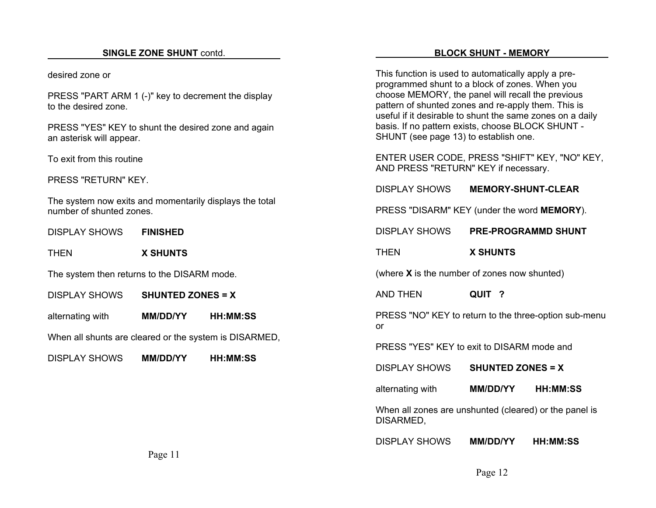#### **SINGLE ZONE SHUNT** contd.

desired zone or

PRESS "PART ARM 1 (-)" key to decrement the display to the desired zone.

PRESS "YES" KEY to shunt the desired zone and again an asterisk will appear.

To exit from this routine

PRESS "RETURN" KEY.

The system now exits and momentarily displays the total number of shunted zones.

DISPLAY SHOWS**FINISHED**

THEN**X SHUNTS**

The system then returns to the DISARM mode.

DISPLAY SHOWS**SHUNTED ZONES = X**

alternating with **MM/DD/YY HH:MM:SS**

When all shunts are cleared or the system is DISARMED,

DISPLAY SHOWS**MM/DD/YY HH:MM:SS**

This function is used to automatically apply a preprogrammed shunt to a block of zones. When you choose MEMORY, the panel will recall the previous pattern of shunted zones and re-apply them. This is useful if it desirable to shunt the same zones on a daily basis. If no pattern exists, choose BLOCK SHUNT - SHUNT (see page 13) to establish one.

ENTER USER CODE, PRESS "SHIFT" KEY, "NO" KEY, AND PRESS "RETURN" KEY if necessary.

DISPLAY SHOWS**MEMORY-SHUNT-CLEAR**

PRESS "DISARM" KEY (under the word **MEMORY**).

DISPLAY SHOWS**PRE-PROGRAMMD SHUNT**

THEN**X SHUNTS**

(where **X** is the number of zones now shunted)

AND THEN**QUIT ?**

PRESS "NO" KEY to return to the three-option sub-menu or

PRESS "YES" KEY to exit to DISARM mode and

DISPLAY SHOWS**SHUNTED ZONES = X**

alternating with **MM/DD/YY HH:MM:SS**

When all zones are unshunted (cleared) or the panel is DISARMED,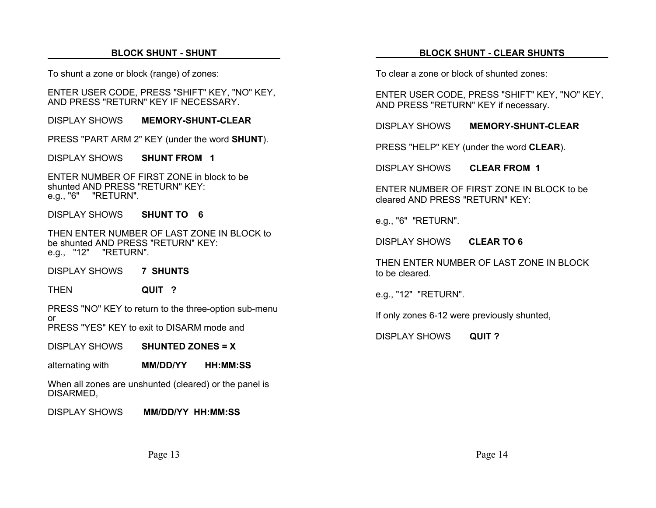#### **BLOCK SHUNT - SHUNT**

To shunt a zone or block (range) of zones:

ENTER USER CODE, PRESS "SHIFT" KEY, "NO" KEY, AND PRESS "RETURN" KEY IF NECESSARY.

DISPLAY SHOWS**MEMORY-SHUNT-CLEAR**

PRESS "PART ARM 2" KEY (under the word **SHUNT**).

DISPLAY SHOWS**SHUNT FROM 1**

ENTER NUMBER OF FIRST ZONE in block to beshunted AND PRESS "RETURN" KEY: e.g., "6" "RETURN".

DISPLAY SHOWS**SHUNT TO 6**

THEN ENTER NUMBER OF LAST ZONE IN BLOCK tobe shunted AND PRESS "RETURN" KEY:e.g., "12" "RETURN".

DISPLAY SHOWS**7 SHUNTS**

**THEN QUIT ?**

PRESS "NO" KEY to return to the three-option sub-menu or

PRESS "YES" KEY to exit to DISARM mode and

DISPLAY SHOWS**SHUNTED ZONES = X**

alternating with **MM/DD/YY HH:MM:SS**

When all zones are unshunted (cleared) or the panel is DISARMED,

DISPLAY SHOWS **MM/DD/YY HH:MM:SS**

#### **BLOCK SHUNT - CLEAR SHUNTS**

To clear a zone or block of shunted zones:

ENTER USER CODE, PRESS "SHIFT" KEY, "NO" KEY, AND PRESS "RETURN" KEY if necessary.

DISPLAY SHOWS**MEMORY-SHUNT-CLEAR**

PRESS "HELP" KEY (under the word **CLEAR**).

DISPLAY SHOWS**CLEAR FROM 1**

ENTER NUMBER OF FIRST ZONE IN BLOCK to becleared AND PRESS "RETURN" KEY:

e.g., "6" "RETURN".

DISPLAY SHOWS **CLEAR TO 6**

THEN ENTER NUMBER OF LAST ZONE IN BLOCK to be cleared.

e.g., "12" "RETURN".

If only zones 6-12 were previously shunted,

DISPLAY SHOWS**QUIT ?**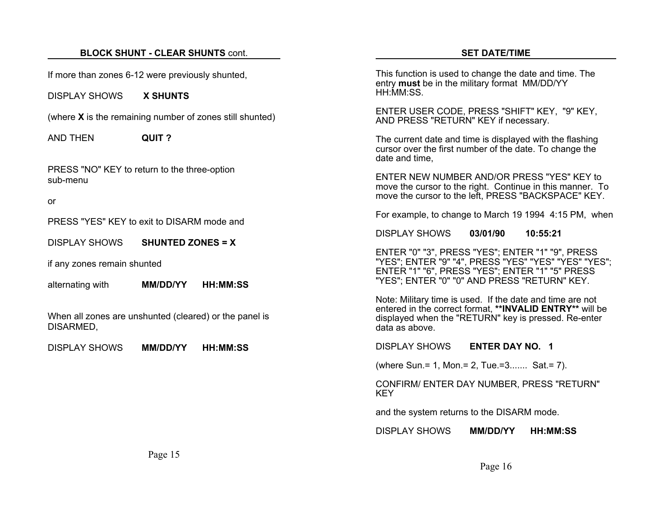### **BLOCK SHUNT - CLEAR SHUNTS** cont.

If more than zones 6-12 were previously shunted,

DISPLAY SHOWS **X SHUNTS**

(where **X** is the remaining number of zones still shunted)

AND THEN**QUIT ?**

PRESS "NO" KEY to return to the three-option sub-menu

or

PRESS "YES" KEY to exit to DISARM mode and

DISPLAY SHOWS**SHUNTED ZONES = X**

if any zones remain shunted

alternating with **MM/DD/YY HH:MM:SS**

When all zones are unshunted (cleared) or the panel is DISARMED,

DISPLAY SHOWS**MM/DD/YY HH:MM:SS** This function is used to change the date and time. The entry **must** be in the military format MM/DD/YY HH:MM:SS.

ENTER USER CODE, PRESS "SHIFT" KEY, "9" KEY, AND PRESS "RETURN" KEY if necessary.

The current date and time is displayed with the flashing cursor over the first number of the date. To change the date and time,

ENTER NEW NUMBER AND/OR PRESS "YES" KEY tomove the cursor to the right. Continue in this manner. To move the cursor to the left, PRESS "BACKSPACE" KEY.

For example, to change to March 19 1994 4:15 PM, when

DISPLAY SHOWS**03/01/90 10:55:21**

ENTER "0" "3", PRESS "YES"; ENTER "1" "9", PRESS "YES"; ENTER "9" "4", PRESS "YES" "YES" "YES" "YES"; ENTER "1" "6", PRESS "YES"; ENTER "1" "5" PRESS "YES"; ENTER "0" "0" AND PRESS "RETURN" KEY.

Note: Military time is used. If the date and time are not entered in the correct format, **\*\*INVALID ENTRY\*\*** will be displayed when the "RETURN" key is pressed. Re-enter data as above.

DISPLAY SHOWS**ENTER DAY NO. 1**

(where Sun.= 1, Mon.= 2, Tue.=3....... Sat.= 7).

#### CONFIRM/ ENTER DAY NUMBER, PRESS "RETURN" KEY

and the system returns to the DISARM mode.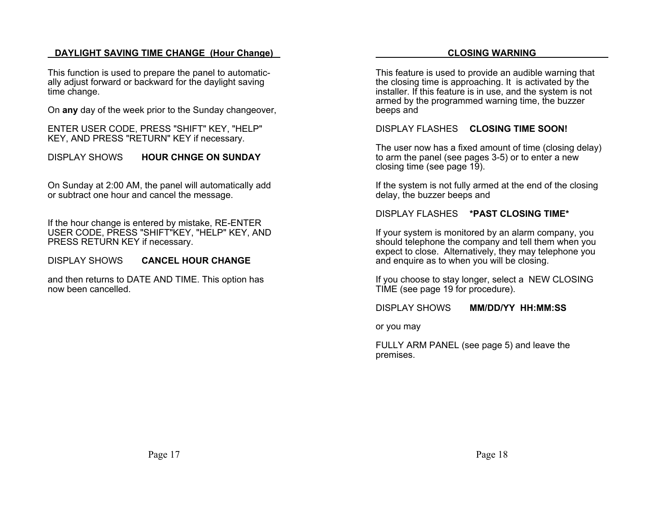### **DAYLIGHT SAVING TIME CHANGE (Hour Change)**

This function is used to prepare the panel to automatically adjust forward or backward for the daylight saving time change.

On **any** day of the week prior to the Sunday changeover,

ENTER USER CODE, PRESS "SHIFT" KEY, "HELP" KEY, AND PRESS "RETURN" KEY if necessary.

DISPLAY SHOWS**HOUR CHNGE ON SUNDAY**

On Sunday at 2:00 AM, the panel will automatically add or subtract one hour and cancel the message.

If the hour change is entered by mistake, RE-ENTER USER CODE, PRESS "SHIFT"KEY, "HELP" KEY, AND PRESS RETURN KEY if necessary.

DISPLAY SHOWS**CANCEL HOUR CHANGE**

and then returns to DATE AND TIME. This option has now been cancelled.

#### **CLOSING WARNING**

This feature is used to provide an audible warning that the closing time is approaching. It is activated by the installer. If this feature is in use, and the system is not armed by the programmed warning time, the buzzer beeps and

DISPLAY FLASHES **CLOSING TIME SOON!**

The user now has a fixed amount of time (closing delay) to arm the panel (see pages 3-5) or to enter a new closing time (see page 19).

If the system is not fully armed at the end of the closing delay, the buzzer beeps and

DISPLAY FLASHES **\*PAST CLOSING TIME\***

If your system is monitored by an alarm company, you should telephone the company and tell them when you expect to close. Alternatively, they may telephone you and enquire as to when you will be closing.

If you choose to stay longer, select a NEW CLOSING TIME (see page 19 for procedure).

DISPLAY SHOWS**MM/DD/YY HH:MM:SS**

or you may

FULLY ARM PANEL (see page 5) and leave the premises.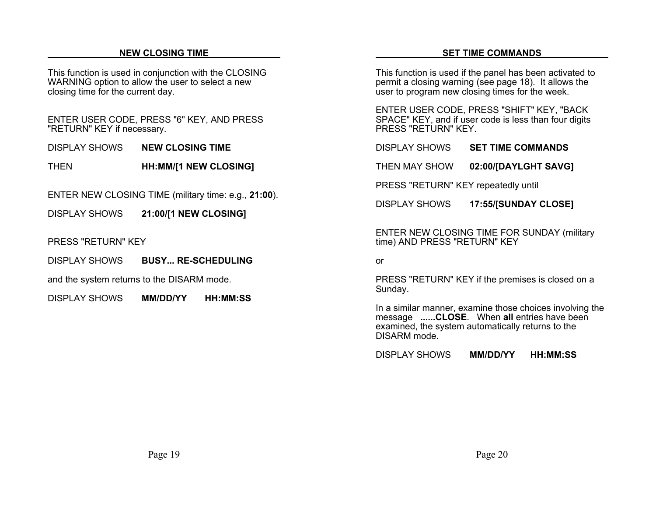#### **NEW CLOSING TIME**

This function is used in conjunction with the CLOSING WARNING option to allow the user to select a new closing time for the current day.

ENTER USER CODE, PRESS "6" KEY, AND PRESS "RETURN" KEY if necessary.

DISPLAY SHOWS**NEW CLOSING TIME**

THEN**HH:MM/[1 NEW CLOSING]**

ENTER NEW CLOSING TIME (military time: e.g., **21:00**).

DISPLAY SHOWS**21:00/[1 NEW CLOSING]**

PRESS "RETURN" KEY

DISPLAY SHOWS**BUSY... RE-SCHEDULING**

and the system returns to the DISARM mode.

DISPLAY SHOWS**MM/DD/YY HH:MM:SS**

This function is used if the panel has been activated to permit a closing warning (see page 18). It allows the user to program new closing times for the week.

ENTER USER CODE, PRESS "SHIFT" KEY, "BACK SPACE" KEY, and if user code is less than four digits PRESS "RETURN" KEY.

DISPLAY SHOWS**SET TIME COMMANDS**

THEN MAY SHOW**02:00/[DAYLGHT SAVG]**

PRESS "RETURN" KEY repeatedly until

DISPLAY SHOWS**17:55/[SUNDAY CLOSE]**

ENTER NEW CLOSING TIME FOR SUNDAY (military time) AND PRESS "RETURN" KEY

or

PRESS "RETURN" KEY if the premises is closed on a Sunday.

In a similar manner, examine those choices involving the message **......CLOSE**. When **all** entries have been examined, the system automatically returns to the DISARM mode.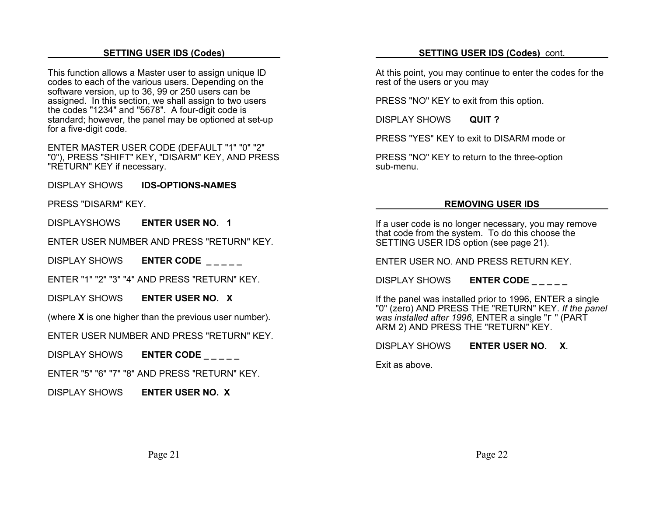#### **SETTING USER IDS (Codes)**

This function allows a Master user to assign unique ID codes to each of the various users. Depending on the software version, up to 36, 99 or 250 users can be assigned. In this section, we shall assign to two users the codes "1234" and "5678". A four-digit code is standard; however, the panel may be optioned at set-up for a five-digit code.

ENTER MASTER USER CODE (DEFAULT "1" "0" "2" "0"), PRESS "SHIFT" KEY, "DISARM" KEY, AND PRESS "RETURN" KEY if necessary.

DISPLAY SHOWS**IDS-OPTIONS-NAMES**

PRESS "DISARM" KEY.

DISPLAYSHOWS**ENTER USER NO. 1**

ENTER USER NUMBER AND PRESS "RETURN" KEY.

DISPLAY SHOWS**ENTER CODE \_ \_ \_ \_ \_**

ENTER "1" "2" "3" "4" AND PRESS "RETURN" KEY.

DISPLAY SHOWS**ENTER USER NO. X**

(where **X** is one higher than the previous user number).

ENTER USER NUMBER AND PRESS "RETURN" KEY.

DISPLAY SHOWS**ENTER CODE \_ \_ \_ \_ \_**

ENTER "5" "6" "7" "8" AND PRESS "RETURN" KEY.

DISPLAY SHOWS**ENTER USER NO. X**

#### **SETTING USER IDS (Codes)** cont.

At this point, you may continue to enter the codes for the rest of the users or you may

PRESS "NO" KEY to exit from this option.

DISPLAY SHOWS**QUIT ?**

PRESS "YES" KEY to exit to DISARM mode or

PRESS "NO" KEY to return to the three-option sub-menu.

#### **REMOVING USER IDS**

If a user code is no longer necessary, you may remove that code from the system. To do this choose the SETTING USER IDS option (see page 21).

ENTER USER NO. AND PRESS RETURN KEY.

DISPLAY SHOWS**ENTER CODE \_ \_ \_ \_ \_**

If the panel was installed prior to 1996, ENTER a single "0" (zero) AND PRESS THE "RETURN" KEY. *If the panel was installed after 1996*, ENTER a single "r" (PART ARM 2) AND PRESS THE "RETURN" KEY.

DISPLAY SHOWS**ENTER USER NO. X**.

Exit as above.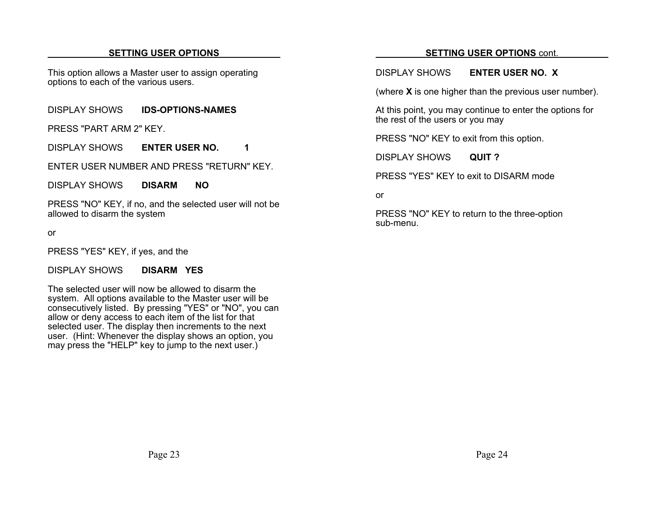#### **SETTING USER OPTIONS**

This option allows a Master user to assign operating options to each of the various users.

DISPLAY SHOWS**IDS-OPTIONS-NAMES**

PRESS "PART ARM 2" KEY.

DISPLAY SHOWS**ENTER USER NO. 1** 

ENTER USER NUMBER AND PRESS "RETURN" KEY.

DISPLAY SHOWS**DISARM NO**

PRESS "NO" KEY, if no, and the selected user will not be allowed to disarm the system

or

PRESS "YES" KEY, if yes, and the

DISPLAY SHOWS**DISARM YES**

The selected user will now be allowed to disarm thesystem. All options available to the Master user will be consecutively listed. By pressing "YES" or "NO", you can allow or deny access to each item of the list for that selected user. The display then increments to the next user. (Hint: Whenever the display shows an option, you may press the "HELP" key to jump to the next user.)

#### **SETTING USER OPTIONS** cont.

#### DISPLAY SHOWS**ENTER USER NO. X**

(where **X** is one higher than the previous user number).

At this point, you may continue to enter the options for the rest of the users or you may

PRESS "NO" KEY to exit from this option.

DISPLAY SHOWS**QUIT ?**

PRESS "YES" KEY to exit to DISARM mode

or

PRESS "NO" KEY to return to the three-option sub-menu.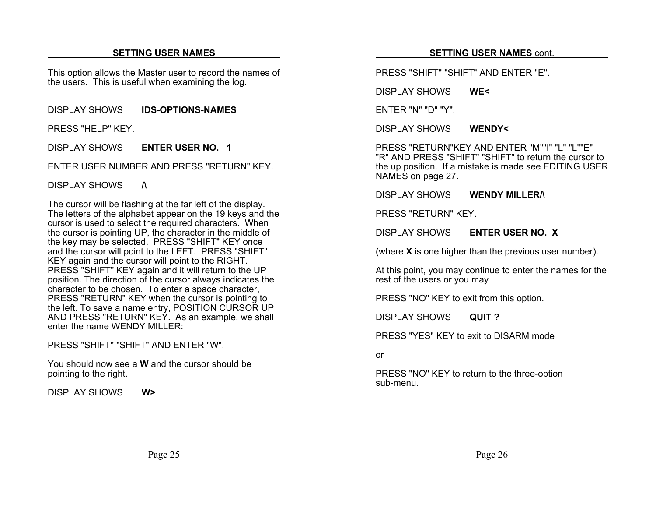#### **SETTING USER NAMES**

This option allows the Master user to record the names of the users. This is useful when examining the log.

DISPLAY SHOWS**IDS-OPTIONS-NAMES**

PRESS "HELP" KEY.

DISPLAY SHOWS**ENTER USER NO. 1**

ENTER USER NUMBER AND PRESS "RETURN" KEY.

DISPLAY SHOWS **/\**

The cursor will be flashing at the far left of the display. The letters of the alphabet appear on the 19 keys and the cursor is used to select the required characters. When the cursor is pointing UP, the character in the middle of the key may be selected. PRESS "SHIFT" KEY once and the cursor will point to the LEFT. PRESS "SHIFT" KEY again and the cursor will point to the RIGHT. PRESS "SHIFT" KEY again and it will return to the UP position. The direction of the cursor always indicates the character to be chosen. To enter a space character, PRESS "RETURN" KEY when the cursor is pointing to the left. To save a name entry, POSITION CURSOR UP AND PRESS "RETURN" KEY. As an example, we shall enter the name WENDY MILLER:

PRESS "SHIFT" "SHIFT" AND ENTER "W".

You should now see a **W** and the cursor should bepointing to the right.

DISPLAY SHOWS**W>**

#### **SETTING USER NAMES** cont.

PRESS "SHIFT" "SHIFT" AND ENTER "E".

DISPLAY SHOWS**WE<**

ENTER "N" "D" "Y".

DISPLAY SHOWS**WENDY<**

PRESS "RETURN"KEY AND ENTER "M""I" "L" "L""E""R" AND PRESS "SHIFT" "SHIFT" to return the cursor to the up position. If a mistake is made see EDITING USER NAMES on page 27.

DISPLAY SHOWS**WENDY MILLER/\**

PRESS "RETURN" KEY.

DISPLAY SHOWS**ENTER USER NO. X**

(where **X** is one higher than the previous user number).

At this point, you may continue to enter the names for the rest of the users or you may

PRESS "NO" KEY to exit from this option.

DISPLAY SHOWS**QUIT ?**

PRESS "YES" KEY to exit to DISARM mode

or

PRESS "NO" KEY to return to the three-option sub-menu.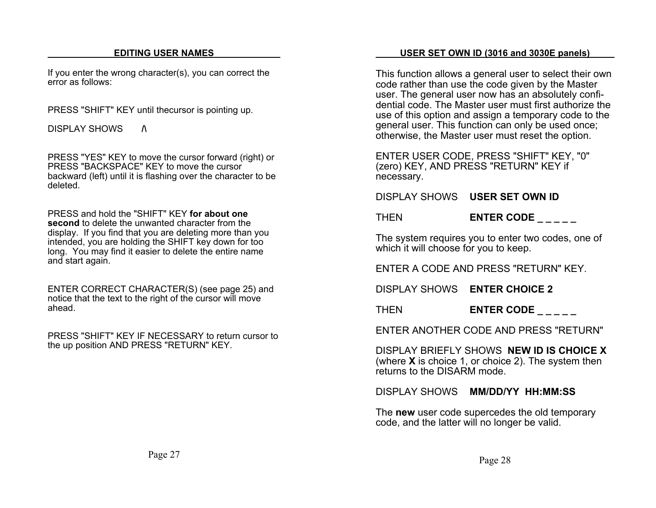#### **EDITING USER NAMES**

If you enter the wrong character(s), you can correct the error as follows:

PRESS "SHIFT" KEY until thecursor is pointing up.

DISPLAY SHOWS **/\**

PRESS "YES" KEY to move the cursor forward (right) or PRESS "BACKSPACE" KEY to move the cursorbackward (left) until it is flashing over the character to be deleted.

PRESS and hold the "SHIFT" KEY **for about onesecond** to delete the unwanted character from thedisplay. If you find that you are deleting more than you intended, you are holding the SHIFT key down for too long. You may find it easier to delete the entire name and start again.

ENTER CORRECT CHARACTER(S) (see page 25) and notice that the text to the right of the cursor will move ahead.

PRESS "SHIFT" KEY IF NECESSARY to return cursor tothe up position AND PRESS "RETURN" KEY.

#### **USER SET OWN ID (3016 and 3030E panels)**

This function allows a general user to select their own code rather than use the code given by the Master user. The general user now has an absolutely confidential code. The Master user must first authorize theuse of this option and assign a temporary code to the general user. This function can only be used once; otherwise, the Master user must reset the option.

ENTER USER CODE, PRESS "SHIFT" KEY, "0" (zero) KEY, AND PRESS "RETURN" KEY if necessary.

DISPLAY SHOWS **USER SET OWN ID**

THEN**ENTER CODE \_ \_ \_ \_ \_**

The system requires you to enter two codes, one of which it will choose for you to keep.

ENTER A CODE AND PRESS "RETURN" KEY.

DISPLAY SHOWS **ENTER CHOICE 2**

THEN**ENTER CODE \_ \_ \_ \_ \_**

ENTER ANOTHER CODE AND PRESS "RETURN"

DISPLAY BRIEFLY SHOWS **NEW ID IS CHOICE X**(where **X** is choice 1, or choice 2). The system then returns to the DISARM mode.

DISPLAY SHOWS **MM/DD/YY HH:MM:SS**

The **new** user code supercedes the old temporary code, and the latter will no longer be valid.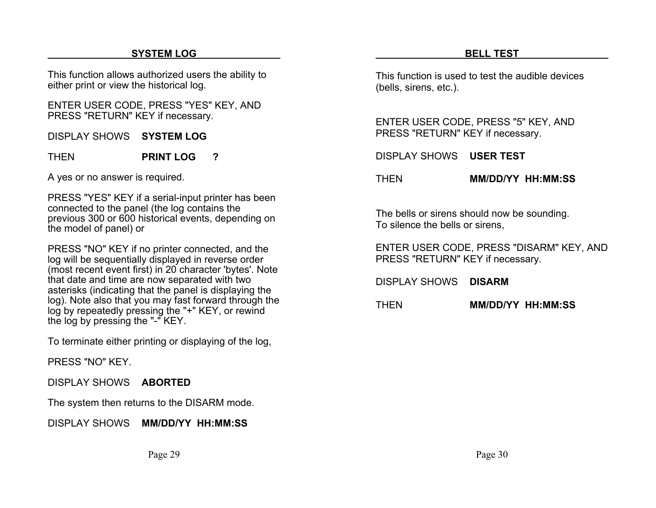# **SYSTEM LOG**

This function allows authorized users the ability to either print or view the historical log.

ENTER USER CODE, PRESS "YES" KEY, AND PRESS "RETURN" KEY if necessary.

DISPLAY SHOWS **SYSTEM LOG**

THEN**PRINT LOG ?**

A yes or no answer is required.

PRESS "YES" KEY if a serial-input printer has been connected to the panel (the log contains the previous 300 or 600 historical events, depending on the model of panel) or

PRESS "NO" KEY if no printer connected, and the log will be sequentially displayed in reverse order (most recent event first) in 20 character 'bytes'. Note that date and time are now separated with two asterisks (indicating that the panel is displaying the log). Note also that you may fast forward through the log by repeatedly pressing the "+" KEY, or rewind the log by pressing the "-" KEY.

To terminate either printing or displaying of the log,

PRESS "NO" KEY.

DISPLAY SHOWS **ABORTED**

The system then returns to the DISARM mode.

DISPLAY SHOWS **MM/DD/YY HH:MM:SS**

This function is used to test the audible devices(bells, sirens, etc.).

ENTER USER CODE, PRESS "5" KEY, AND PRESS "RETURN" KEY if necessary.

DISPLAY SHOWS **USER TEST**

#### THEN**MM/DD/YY HH:MM:SS**

The bells or sirens should now be sounding. To silence the bells or sirens,

ENTER USER CODE, PRESS "DISARM" KEY, AND PRESS "RETURN" KEY if necessary.

DISPLAY SHOWS **DISARM**

THEN**MM/DD/YY HH:MM:SS**